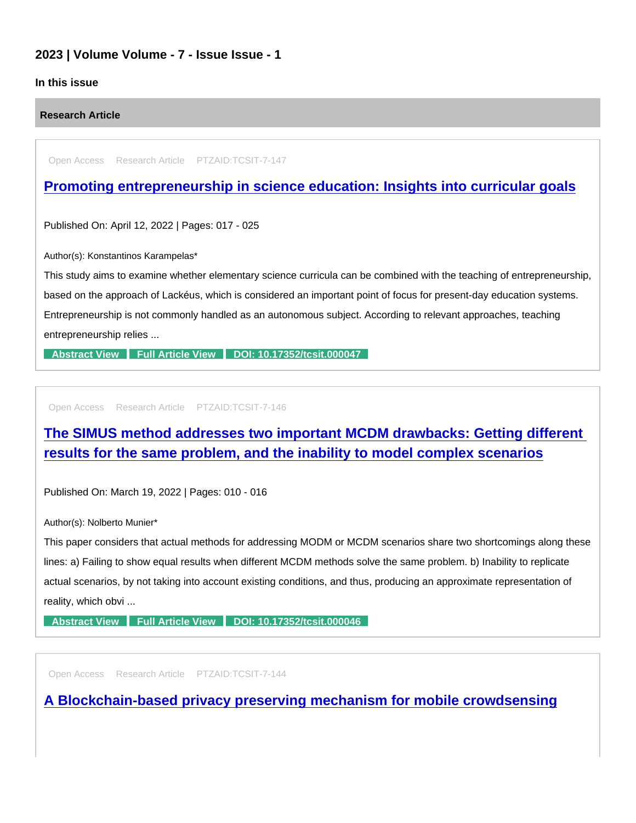## 2023 | Volume Volume - 7 - Issue Issue - 1

### In this issue

Research Article

Open Access Research Article PTZAID:TCSIT-7-147

## [Promoting entrepreneurship in science education: Insights into curricular goals](https://www.peertechzpublications.com/articles/promoting-entrepreneurship-in-science-education-insights-into-curricular-goals)

Published On: April 12, 2022 | Pages: 017 - 025

Author(s): Konstantinos Karampelas\*

This study aims to examine whether elementary science curricula can be combined with the teaching of entrepreneurship, based on the approach of Lackéus, which is considered an important point of focus for present-day education systems. Entrepreneurship is not commonly handled as an autonomous subject. According to relevant approaches, teaching entrepreneurship relies ...

[Abstract View](https://www.peertechzpublications.com/abstracts/promoting-entrepreneurship-in-science-education-insights-into-curricular-goals) [Full Article View](https://www.peertechzpublications.com/articles/promoting-entrepreneurship-in-science-education-insights-into-curricular-goals) [DOI: 10.17352/tcsit.000047](http://dx.doi.org/10.17352/tcsit.000047)

Open Access Research Article PTZAID:TCSIT-7-146

# [The SIMUS method addresses two important MCDM drawbacks: Getting different](https://www.peertechzpublications.com/articles/the-simus-method-addresses-two-important-mcdm-drawbacks-getting-different-results-for-the-same-problem-and-the-inability-to-model-complex-scenarios)  results for the same problem, and the inability to model complex scenarios

Published On: March 19, 2022 | Pages: 010 - 016

Author(s): Nolberto Munier\*

This paper considers that actual methods for addressing MODM or MCDM scenarios share two shortcomings along these lines: a) Failing to show equal results when different MCDM methods solve the same problem. b) Inability to replicate actual scenarios, by not taking into account existing conditions, and thus, producing an approximate representation of reality, which obvi ...

[Abstract View](https://www.peertechzpublications.com/abstracts/the-simus-method-addresses-two-important-mcdm-drawbacks-getting-different-results-for-the-same-problem-and-the-inability-to-model-complex-scenarios) [Full Article View](https://www.peertechzpublications.com/articles/the-simus-method-addresses-two-important-mcdm-drawbacks-getting-different-results-for-the-same-problem-and-the-inability-to-model-complex-scenarios) [DOI: 10.17352/tcsit.000046](http://dx.doi.org/10.17352/tcsit.000046)

Open Access Research Article PTZAID:TCSIT-7-144

[A Blockchain-based privacy preserving mechanism for mobile crowdsensing](https://www.peertechzpublications.com/articles/a-blockchain-based-privacy-preserving-mechanism-for-mobile-crowdsensing)